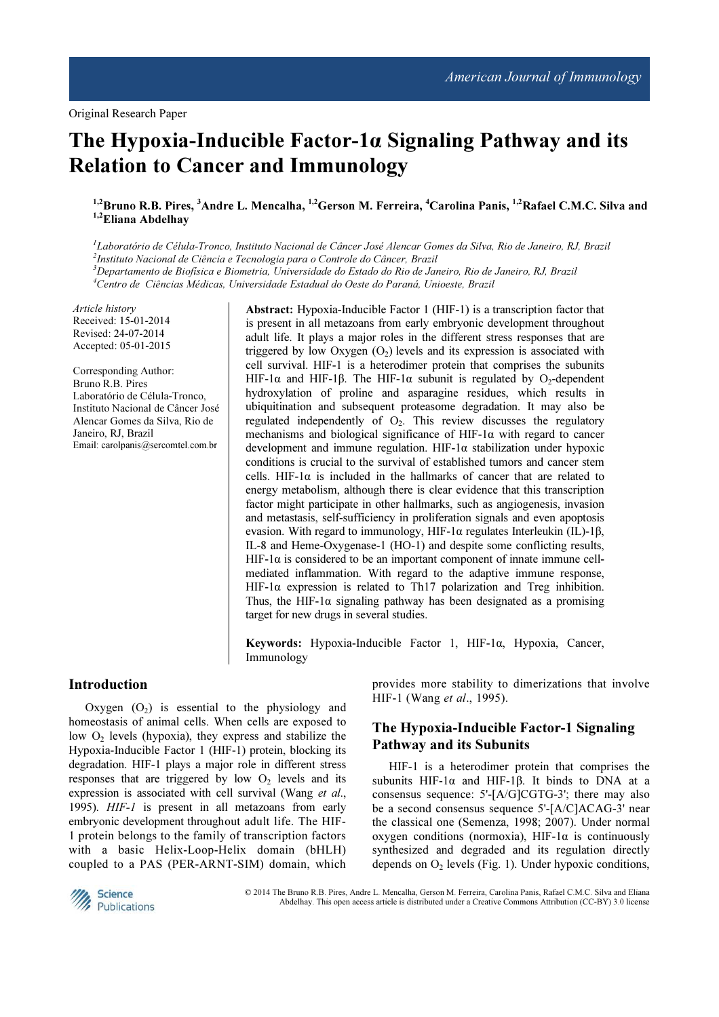Original Research Paper

# The Hypoxia-Inducible Factor-1α Signaling Pathway and its Relation to Cancer and Immunology

<sup>1,2</sup>Bruno R.B. Pires, <sup>3</sup>Andre L. Mencalha, <sup>1,2</sup>Gerson M. Ferreira, <sup>4</sup>Carolina Panis, <sup>1,2</sup>Rafael C.M.C. Silva and <sup>1,2</sup>Eliana Abdelhay

<sup>1</sup>Laboratório de Célula-Tronco, Instituto Nacional de Câncer José Alencar Gomes da Silva, Rio de Janeiro, RJ, Brazil 2 Instituto Nacional de Ciência e Tecnologia para o Controle do Câncer, Brazil <sup>3</sup>Departamento de Biofísica e Biometria, Universidade do Estado do Rio de Janeiro, Rio de Janeiro, RJ, Brazil <sup>4</sup>Centro de Ciências Médicas, Universidade Estadual do Oeste do Paraná, Unioeste, Brazil

Article history Received: 15-01-2014 Revised: 24-07-2014 Accepted: 05-01-2015

Corresponding Author: Bruno R.B. Pires Laboratório de Célula-Tronco, Instituto Nacional de Câncer José Alencar Gomes da Silva, Rio de Janeiro, RJ, Brazil Email: carolpanis@sercomtel.com.br

Abstract: Hypoxia-Inducible Factor 1 (HIF-1) is a transcription factor that is present in all metazoans from early embryonic development throughout adult life. It plays a major roles in the different stress responses that are triggered by low Oxygen  $(O_2)$  levels and its expression is associated with cell survival. HIF-1 is a heterodimer protein that comprises the subunits HIF-1α and HIF-1β. The HIF-1α subunit is regulated by O<sub>2</sub>-dependent hydroxylation of proline and asparagine residues, which results in ubiquitination and subsequent proteasome degradation. It may also be regulated independently of  $O<sub>2</sub>$ . This review discusses the regulatory mechanisms and biological significance of HIF-1α with regard to cancer development and immune regulation. HIF-1α stabilization under hypoxic conditions is crucial to the survival of established tumors and cancer stem cells. HIF-1 $\alpha$  is included in the hallmarks of cancer that are related to energy metabolism, although there is clear evidence that this transcription factor might participate in other hallmarks, such as angiogenesis, invasion and metastasis, self-sufficiency in proliferation signals and even apoptosis evasion. With regard to immunology, HIF-1α regulates Interleukin (IL)-1β, IL-8 and Heme-Oxygenase-1 (HO-1) and despite some conflicting results, HIF-1 $\alpha$  is considered to be an important component of innate immune cellmediated inflammation. With regard to the adaptive immune response, HIF-1α expression is related to Th17 polarization and Treg inhibition. Thus, the HIF-1 $\alpha$  signaling pathway has been designated as a promising target for new drugs in several studies.

Keywords: Hypoxia-Inducible Factor 1, HIF-1α, Hypoxia, Cancer, Immunology

### Introduction

Oxygen  $(O<sub>2</sub>)$  is essential to the physiology and homeostasis of animal cells. When cells are exposed to low  $O<sub>2</sub>$  levels (hypoxia), they express and stabilize the Hypoxia-Inducible Factor 1 (HIF-1) protein, blocking its degradation. HIF-1 plays a major role in different stress responses that are triggered by low  $O<sub>2</sub>$  levels and its expression is associated with cell survival (Wang et al., 1995). HIF-1 is present in all metazoans from early embryonic development throughout adult life. The HIF-1 protein belongs to the family of transcription factors with a basic Helix-Loop-Helix domain (bHLH) coupled to a PAS (PER-ARNT-SIM) domain, which

provides more stability to dimerizations that involve HIF-1 (Wang et al., 1995).

## The Hypoxia-Inducible Factor-1 Signaling Pathway and its Subunits

HIF-1 is a heterodimer protein that comprises the subunits HIF-1 $\alpha$  and HIF-1 $\beta$ . It binds to DNA at a consensus sequence: 5'-[A/G]CGTG-3'; there may also be a second consensus sequence 5'-[A/C]ACAG-3' near the classical one (Semenza, 1998; 2007). Under normal oxygen conditions (normoxia), HIF-1 $\alpha$  is continuously synthesized and degraded and its regulation directly depends on  $O_2$  levels (Fig. 1). Under hypoxic conditions,



 © 2014 The Bruno R.B. Pires, Andre L. Mencalha, Gerson M. Ferreira, Carolina Panis, Rafael C.M.C. Silva and Eliana Abdelhay. This open access article is distributed under a Creative Commons Attribution (CC-BY) 3.0 license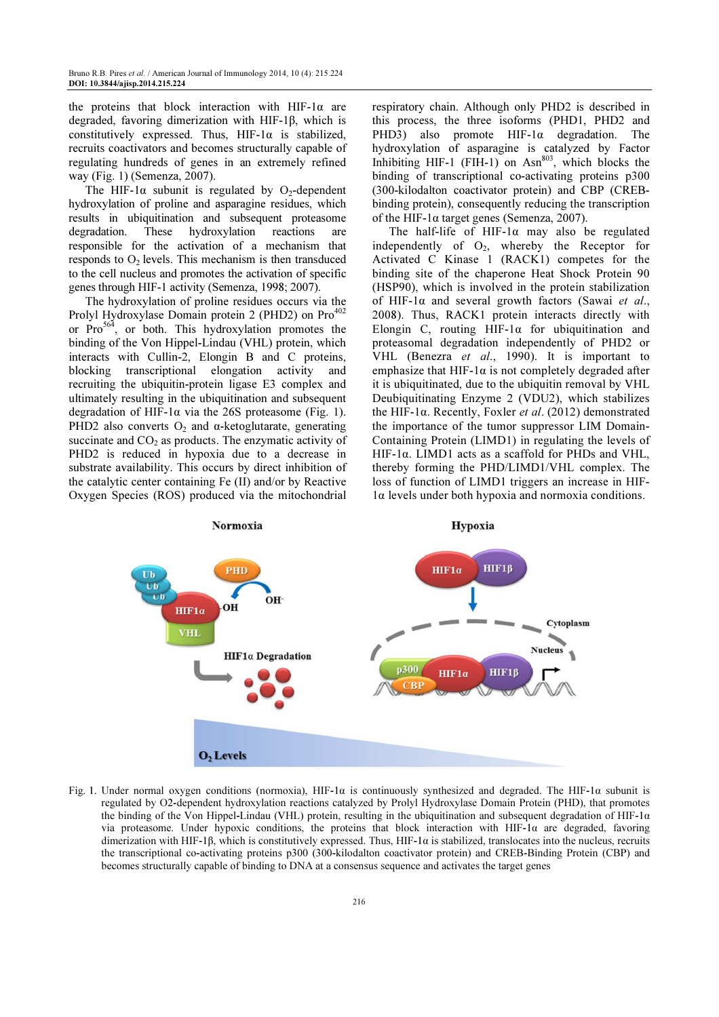the proteins that block interaction with HIF-1 $\alpha$  are degraded, favoring dimerization with HIF-1β, which is constitutively expressed. Thus,  $HIF-I\alpha$  is stabilized, recruits coactivators and becomes structurally capable of regulating hundreds of genes in an extremely refined way (Fig. 1) (Semenza, 2007).

The HIF-1 $\alpha$  subunit is regulated by O<sub>2</sub>-dependent hydroxylation of proline and asparagine residues, which results in ubiquitination and subsequent proteasome degradation. These hydroxylation reactions are responsible for the activation of a mechanism that responds to  $O<sub>2</sub>$  levels. This mechanism is then transduced to the cell nucleus and promotes the activation of specific genes through HIF-1 activity (Semenza, 1998; 2007).

The hydroxylation of proline residues occurs via the Prolyl Hydroxylase Domain protein 2 (PHD2) on  $Pro^{402}$ or  $Pro<sup>564</sup>$ , or both. This hydroxylation promotes the binding of the Von Hippel-Lindau (VHL) protein, which interacts with Cullin-2, Elongin B and C proteins, blocking transcriptional elongation activity and recruiting the ubiquitin-protein ligase E3 complex and ultimately resulting in the ubiquitination and subsequent degradation of HIF-1 $\alpha$  via the 26S proteasome (Fig. 1). PHD2 also converts  $O_2$  and α-ketoglutarate, generating succinate and  $CO<sub>2</sub>$  as products. The enzymatic activity of PHD2 is reduced in hypoxia due to a decrease in substrate availability. This occurs by direct inhibition of the catalytic center containing Fe (II) and/or by Reactive Oxygen Species (ROS) produced via the mitochondrial

respiratory chain. Although only PHD2 is described in this process, the three isoforms (PHD1, PHD2 and PHD3) also promote HIF-1α degradation. The hydroxylation of asparagine is catalyzed by Factor Inhibiting HIF-1 (FIH-1) on  $\text{Asn}^{803}$ , which blocks the binding of transcriptional co-activating proteins p300 (300-kilodalton coactivator protein) and CBP (CREBbinding protein), consequently reducing the transcription of the HIF-1 $\alpha$  target genes (Semenza, 2007).

The half-life of HIF-1α may also be regulated independently of  $O_2$ , whereby the Receptor for Activated C Kinase 1 (RACK1) competes for the binding site of the chaperone Heat Shock Protein 90 (HSP90), which is involved in the protein stabilization of HIF-1 $\alpha$  and several growth factors (Sawai et al., 2008). Thus, RACK1 protein interacts directly with Elongin C, routing HIF-1α for ubiquitination and proteasomal degradation independently of PHD2 or VHL (Benezra et al., 1990). It is important to emphasize that HIF-1 $\alpha$  is not completely degraded after it is ubiquitinated, due to the ubiquitin removal by VHL Deubiquitinating Enzyme 2 (VDU2), which stabilizes the HIF-1α. Recently, Foxler et al. (2012) demonstrated the importance of the tumor suppressor LIM Domain-Containing Protein (LIMD1) in regulating the levels of HIF-1α. LIMD1 acts as a scaffold for PHDs and VHL, thereby forming the PHD/LIMD1/VHL complex. The loss of function of LIMD1 triggers an increase in HIF-1α levels under both hypoxia and normoxia conditions.



Fig. 1. Under normal oxygen conditions (normoxia), HIF-1 $\alpha$  is continuously synthesized and degraded. The HIF-1 $\alpha$  subunit is regulated by O2-dependent hydroxylation reactions catalyzed by Prolyl Hydroxylase Domain Protein (PHD), that promotes the binding of the Von Hippel-Lindau (VHL) protein, resulting in the ubiquitination and subsequent degradation of HIF-1α via proteasome. Under hypoxic conditions, the proteins that block interaction with HIF-1α are degraded, favoring dimerization with HIF-1β, which is constitutively expressed. Thus, HIF-1α is stabilized, translocates into the nucleus, recruits the transcriptional co-activating proteins p300 (300-kilodalton coactivator protein) and CREB-Binding Protein (CBP) and becomes structurally capable of binding to DNA at a consensus sequence and activates the target genes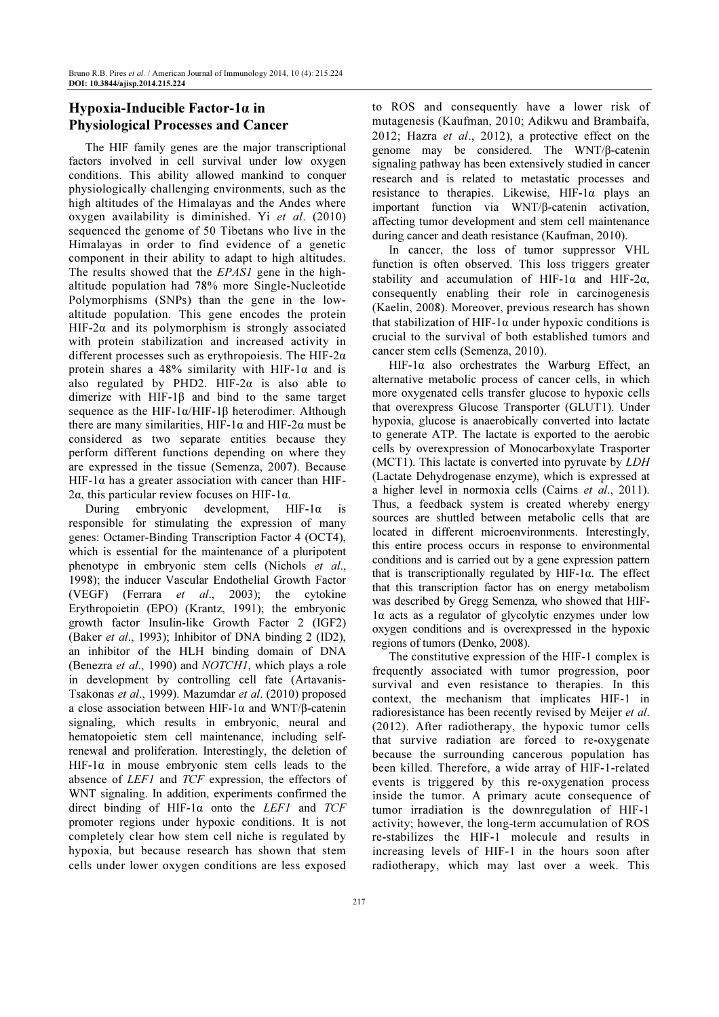# Hypoxia-Inducible Factor-1α in Physiological Processes and Cancer

The HIF family genes are the major transcriptional factors involved in cell survival under low oxygen conditions. This ability allowed mankind to conquer physiologically challenging environments, such as the high altitudes of the Himalayas and the Andes where oxygen availability is diminished. Yi et al. (2010) sequenced the genome of 50 Tibetans who live in the Himalayas in order to find evidence of a genetic component in their ability to adapt to high altitudes. The results showed that the EPAS1 gene in the highaltitude population had 78% more Single-Nucleotide Polymorphisms (SNPs) than the gene in the lowaltitude population. This gene encodes the protein HIF-2 $\alpha$  and its polymorphism is strongly associated with protein stabilization and increased activity in different processes such as erythropoiesis. The HIF-2 $\alpha$ protein shares a 48% similarity with HIF-1 $\alpha$  and is also regulated by PHD2. HIF-2 $\alpha$  is also able to dimerize with HIF-1β and bind to the same target sequence as the HIF-1α/HIF-1β heterodimer. Although there are many similarities, HIF-1α and HIF-2α must be considered as two separate entities because they perform different functions depending on where they are expressed in the tissue (Semenza, 2007). Because HIF-1 $\alpha$  has a greater association with cancer than HIF-2α, this particular review focuses on HIF-1α.

During embryonic development, HIF-1 $\alpha$  is responsible for stimulating the expression of many genes: Octamer-Binding Transcription Factor 4 (OCT4), which is essential for the maintenance of a pluripotent phenotype in embryonic stem cells (Nichols et al., 1998); the inducer Vascular Endothelial Growth Factor (VEGF) (Ferrara et al., 2003); the cytokine Erythropoietin (EPO) (Krantz, 1991); the embryonic growth factor Insulin-like Growth Factor 2 (IGF2) (Baker et al., 1993); Inhibitor of DNA binding 2 (ID2), an inhibitor of the HLH binding domain of DNA (Benezra et al., 1990) and NOTCH1, which plays a role in development by controlling cell fate (Artavanis-Tsakonas et al., 1999). Mazumdar et al. (2010) proposed a close association between HIF-1α and WNT/β-catenin signaling, which results in embryonic, neural and hematopoietic stem cell maintenance, including selfrenewal and proliferation. Interestingly, the deletion of HIF-1 $\alpha$  in mouse embryonic stem cells leads to the absence of LEF1 and TCF expression, the effectors of WNT signaling. In addition, experiments confirmed the direct binding of HIF-1 $\alpha$  onto the LEF1 and TCF promoter regions under hypoxic conditions. It is not completely clear how stem cell niche is regulated by hypoxia, but because research has shown that stem cells under lower oxygen conditions are less exposed

to ROS and consequently have a lower risk of mutagenesis (Kaufman, 2010; Adikwu and Brambaifa, 2012; Hazra et al., 2012), a protective effect on the genome may be considered. The WNT/β-catenin signaling pathway has been extensively studied in cancer research and is related to metastatic processes and resistance to therapies. Likewise, HIF-1α plays an important function via WNT/β-catenin activation, affecting tumor development and stem cell maintenance during cancer and death resistance (Kaufman, 2010).

In cancer, the loss of tumor suppressor VHL function is often observed. This loss triggers greater stability and accumulation of HIF-1 $\alpha$  and HIF-2 $\alpha$ , consequently enabling their role in carcinogenesis (Kaelin, 2008). Moreover, previous research has shown that stabilization of HIF-1α under hypoxic conditions is crucial to the survival of both established tumors and cancer stem cells (Semenza, 2010).

HIF-1 $\alpha$  also orchestrates the Warburg Effect, an alternative metabolic process of cancer cells, in which more oxygenated cells transfer glucose to hypoxic cells that overexpress Glucose Transporter (GLUT1). Under hypoxia, glucose is anaerobically converted into lactate to generate ATP. The lactate is exported to the aerobic cells by overexpression of Monocarboxylate Trasporter (MCT1). This lactate is converted into pyruvate by LDH (Lactate Dehydrogenase enzyme), which is expressed at a higher level in normoxia cells (Cairns et al., 2011). Thus, a feedback system is created whereby energy sources are shuttled between metabolic cells that are located in different microenvironments. Interestingly, this entire process occurs in response to environmental conditions and is carried out by a gene expression pattern that is transcriptionally regulated by HIF-1α. The effect that this transcription factor has on energy metabolism was described by Gregg Semenza, who showed that HIF-1α acts as a regulator of glycolytic enzymes under low oxygen conditions and is overexpressed in the hypoxic regions of tumors (Denko, 2008).

The constitutive expression of the HIF-1 complex is frequently associated with tumor progression, poor survival and even resistance to therapies. In this context, the mechanism that implicates HIF-1 in radioresistance has been recently revised by Meijer et al. (2012). After radiotherapy, the hypoxic tumor cells that survive radiation are forced to re-oxygenate because the surrounding cancerous population has been killed. Therefore, a wide array of HIF-1-related events is triggered by this re-oxygenation process inside the tumor. A primary acute consequence of tumor irradiation is the downregulation of HIF-1 activity; however, the long-term accumulation of ROS re-stabilizes the HIF-1 molecule and results in increasing levels of HIF-1 in the hours soon after radiotherapy, which may last over a week. This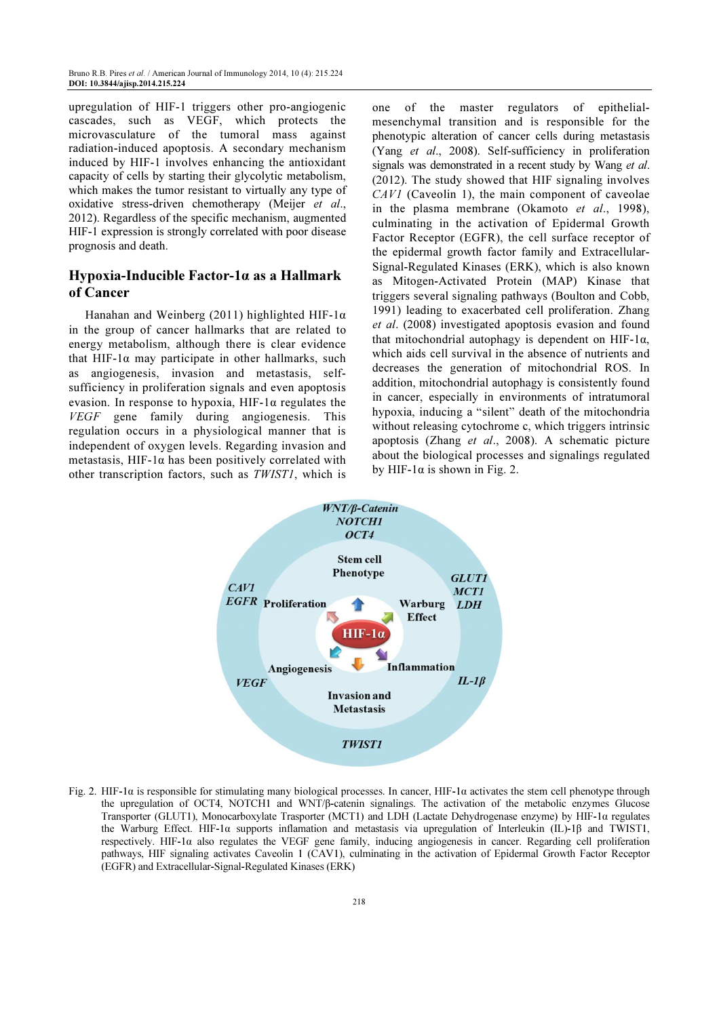upregulation of HIF-1 triggers other pro-angiogenic cascades, such as VEGF, which protects the microvasculature of the tumoral mass against radiation-induced apoptosis. A secondary mechanism induced by HIF-1 involves enhancing the antioxidant capacity of cells by starting their glycolytic metabolism, which makes the tumor resistant to virtually any type of oxidative stress-driven chemotherapy (Meijer et al., 2012). Regardless of the specific mechanism, augmented HIF-1 expression is strongly correlated with poor disease prognosis and death.

## Hypoxia-Inducible Factor-1α as a Hallmark of Cancer

Hanahan and Weinberg (2011) highlighted HIF-1α in the group of cancer hallmarks that are related to energy metabolism, although there is clear evidence that HIF-1α may participate in other hallmarks, such as angiogenesis, invasion and metastasis, selfsufficiency in proliferation signals and even apoptosis evasion. In response to hypoxia,  $HIF-I\alpha$  regulates the VEGF gene family during angiogenesis. This regulation occurs in a physiological manner that is independent of oxygen levels. Regarding invasion and metastasis, HIF-1 $\alpha$  has been positively correlated with other transcription factors, such as TWIST1, which is

one of the master regulators of epithelialmesenchymal transition and is responsible for the phenotypic alteration of cancer cells during metastasis (Yang et al., 2008). Self-sufficiency in proliferation signals was demonstrated in a recent study by Wang et al. (2012). The study showed that HIF signaling involves CAV1 (Caveolin 1), the main component of caveolae in the plasma membrane (Okamoto et al., 1998), culminating in the activation of Epidermal Growth Factor Receptor (EGFR), the cell surface receptor of the epidermal growth factor family and Extracellular-Signal-Regulated Kinases (ERK), which is also known as Mitogen-Activated Protein (MAP) Kinase that triggers several signaling pathways (Boulton and Cobb, 1991) leading to exacerbated cell proliferation. Zhang et al. (2008) investigated apoptosis evasion and found that mitochondrial autophagy is dependent on HIF-1 $\alpha$ , which aids cell survival in the absence of nutrients and decreases the generation of mitochondrial ROS. In addition, mitochondrial autophagy is consistently found in cancer, especially in environments of intratumoral hypoxia, inducing a "silent" death of the mitochondria without releasing cytochrome c, which triggers intrinsic apoptosis (Zhang et al., 2008). A schematic picture about the biological processes and signalings regulated by HIF-1 $\alpha$  is shown in Fig. 2.



Fig. 2. HIF-1α is responsible for stimulating many biological processes. In cancer, HIF-1α activates the stem cell phenotype through the upregulation of OCT4, NOTCH1 and WNT/β-catenin signalings. The activation of the metabolic enzymes Glucose Transporter (GLUT1), Monocarboxylate Trasporter (MCT1) and LDH (Lactate Dehydrogenase enzyme) by HIF-1α regulates the Warburg Effect. HIF-1α supports inflamation and metastasis via upregulation of Interleukin (IL)-1β and TWIST1, respectively. HIF-1α also regulates the VEGF gene family, inducing angiogenesis in cancer. Regarding cell proliferation pathways, HIF signaling activates Caveolin 1 (CAV1), culminating in the activation of Epidermal Growth Factor Receptor (EGFR) and Extracellular-Signal-Regulated Kinases (ERK)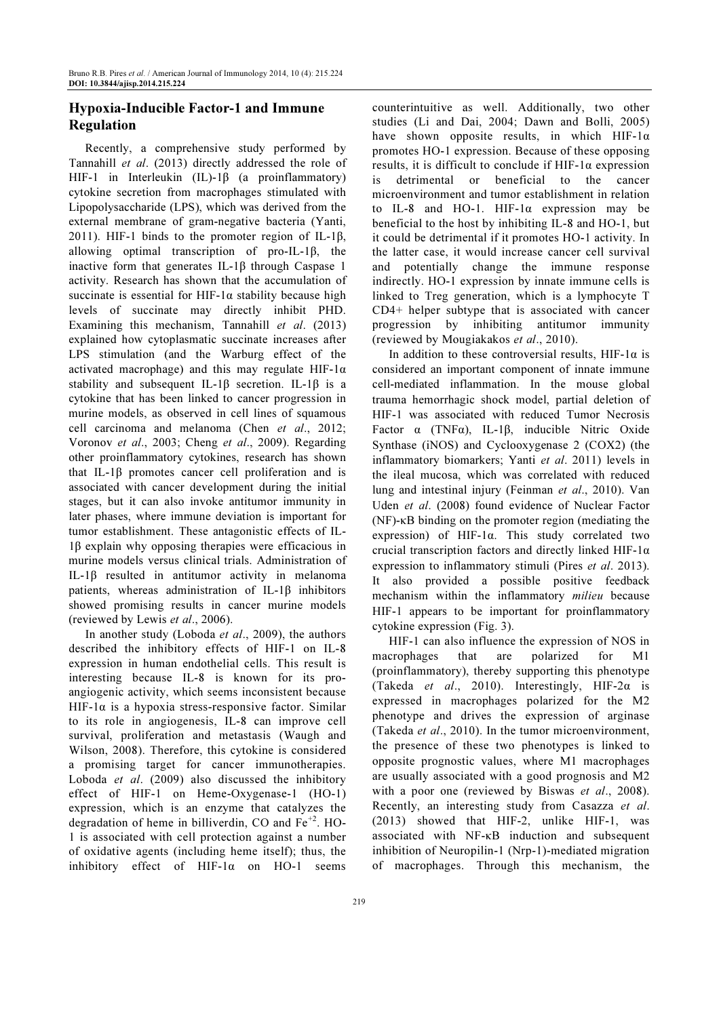# Hypoxia-Inducible Factor-1 and Immune Regulation

Recently, a comprehensive study performed by Tannahill et al. (2013) directly addressed the role of HIF-1 in Interleukin (IL)-1β (a proinflammatory) cytokine secretion from macrophages stimulated with Lipopolysaccharide (LPS), which was derived from the external membrane of gram-negative bacteria (Yanti, 2011). HIF-1 binds to the promoter region of IL-1 $\beta$ , allowing optimal transcription of pro-IL-1β, the inactive form that generates IL-1β through Caspase 1 activity. Research has shown that the accumulation of succinate is essential for HIF-1 $\alpha$  stability because high levels of succinate may directly inhibit PHD. Examining this mechanism, Tannahill et al.  $(2013)$ explained how cytoplasmatic succinate increases after LPS stimulation (and the Warburg effect of the activated macrophage) and this may regulate HIF-1 $\alpha$ stability and subsequent IL-1 $\beta$  secretion. IL-1 $\beta$  is a cytokine that has been linked to cancer progression in murine models, as observed in cell lines of squamous cell carcinoma and melanoma (Chen et al., 2012; Voronov et al., 2003; Cheng et al., 2009). Regarding other proinflammatory cytokines, research has shown that IL-1β promotes cancer cell proliferation and is associated with cancer development during the initial stages, but it can also invoke antitumor immunity in later phases, where immune deviation is important for tumor establishment. These antagonistic effects of IL-1β explain why opposing therapies were efficacious in murine models versus clinical trials. Administration of IL-1β resulted in antitumor activity in melanoma patients, whereas administration of IL-1β inhibitors showed promising results in cancer murine models (reviewed by Lewis et al., 2006).

In another study (Loboda et al., 2009), the authors described the inhibitory effects of HIF-1 on IL-8 expression in human endothelial cells. This result is interesting because IL-8 is known for its proangiogenic activity, which seems inconsistent because HIF-1 $\alpha$  is a hypoxia stress-responsive factor. Similar to its role in angiogenesis, IL-8 can improve cell survival, proliferation and metastasis (Waugh and Wilson, 2008). Therefore, this cytokine is considered a promising target for cancer immunotherapies. Loboda et al. (2009) also discussed the inhibitory effect of HIF-1 on Heme-Oxygenase-1 (HO-1) expression, which is an enzyme that catalyzes the degradation of heme in billiverdin, CO and  $Fe<sup>+2</sup>$ . HO-1 is associated with cell protection against a number of oxidative agents (including heme itself); thus, the inhibitory effect of HIF-1α on HO-1 seems counterintuitive as well. Additionally, two other studies (Li and Dai, 2004; Dawn and Bolli, 2005) have shown opposite results, in which HIF-1α promotes HO-1 expression. Because of these opposing results, it is difficult to conclude if HIF-1α expression is detrimental or beneficial to the cancer microenvironment and tumor establishment in relation to IL-8 and HO-1. HIF-1α expression may be beneficial to the host by inhibiting IL-8 and HO-1, but it could be detrimental if it promotes HO-1 activity. In the latter case, it would increase cancer cell survival and potentially change the immune response indirectly. HO-1 expression by innate immune cells is linked to Treg generation, which is a lymphocyte T CD4+ helper subtype that is associated with cancer progression by inhibiting antitumor immunity (reviewed by Mougiakakos et al., 2010).

In addition to these controversial results, HIF-1 $\alpha$  is considered an important component of innate immune cell-mediated inflammation. In the mouse global trauma hemorrhagic shock model, partial deletion of HIF-1 was associated with reduced Tumor Necrosis Factor α (TNFα), IL-1β, inducible Nitric Oxide Synthase (iNOS) and Cyclooxygenase 2 (COX2) (the inflammatory biomarkers; Yanti et al. 2011) levels in the ileal mucosa, which was correlated with reduced lung and intestinal injury (Feinman et al., 2010). Van Uden et al. (2008) found evidence of Nuclear Factor (NF)-κB binding on the promoter region (mediating the expression) of HIF-1α. This study correlated two crucial transcription factors and directly linked HIF-1 $\alpha$ expression to inflammatory stimuli (Pires et al. 2013). It also provided a possible positive feedback mechanism within the inflammatory milieu because HIF-1 appears to be important for proinflammatory cytokine expression (Fig. 3).

HIF-1 can also influence the expression of NOS in macrophages that are polarized for M1 (proinflammatory), thereby supporting this phenotype (Takeda et al., 2010). Interestingly, HIF-2α is expressed in macrophages polarized for the M2 phenotype and drives the expression of arginase (Takeda et al., 2010). In the tumor microenvironment, the presence of these two phenotypes is linked to opposite prognostic values, where M1 macrophages are usually associated with a good prognosis and M2 with a poor one (reviewed by Biswas et al., 2008). Recently, an interesting study from Casazza et al. (2013) showed that HIF-2, unlike HIF-1, was associated with NF-κB induction and subsequent inhibition of Neuropilin-1 (Nrp-1)-mediated migration of macrophages. Through this mechanism, the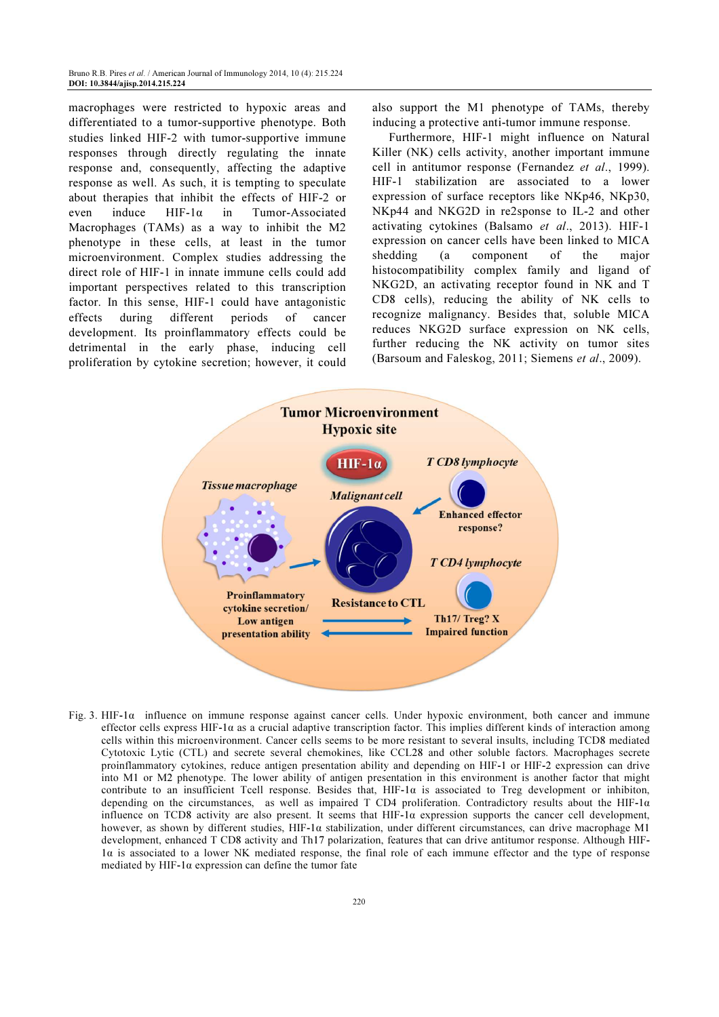macrophages were restricted to hypoxic areas and differentiated to a tumor-supportive phenotype. Both studies linked HIF-2 with tumor-supportive immune responses through directly regulating the innate response and, consequently, affecting the adaptive response as well. As such, it is tempting to speculate about therapies that inhibit the effects of HIF-2 or even induce HIF-1α in Tumor-Associated Macrophages (TAMs) as a way to inhibit the M2 phenotype in these cells, at least in the tumor microenvironment. Complex studies addressing the direct role of HIF-1 in innate immune cells could add important perspectives related to this transcription factor. In this sense, HIF-1 could have antagonistic effects during different periods of cancer development. Its proinflammatory effects could be detrimental in the early phase, inducing cell proliferation by cytokine secretion; however, it could also support the M1 phenotype of TAMs, thereby inducing a protective anti-tumor immune response.

Furthermore, HIF-1 might influence on Natural Killer (NK) cells activity, another important immune cell in antitumor response (Fernandez et al., 1999). HIF-1 stabilization are associated to a lower expression of surface receptors like NKp46, NKp30, NKp44 and NKG2D in re2sponse to IL-2 and other activating cytokines (Balsamo et al., 2013). HIF-1 expression on cancer cells have been linked to MICA shedding (a component of the major histocompatibility complex family and ligand of NKG2D, an activating receptor found in NK and T CD8 cells), reducing the ability of NK cells to recognize malignancy. Besides that, soluble MICA reduces NKG2D surface expression on NK cells, further reducing the NK activity on tumor sites (Barsoum and Faleskog, 2011; Siemens et al., 2009).



Fig. 3. HIF-1 $\alpha$  influence on immune response against cancer cells. Under hypoxic environment, both cancer and immune effector cells express HIF-1 $\alpha$  as a crucial adaptive transcription factor. This implies different kinds of interaction among cells within this microenvironment. Cancer cells seems to be more resistant to several insults, including TCD8 mediated Cytotoxic Lytic (CTL) and secrete several chemokines, like CCL28 and other soluble factors. Macrophages secrete proinflammatory cytokines, reduce antigen presentation ability and depending on HIF-1 or HIF-2 expression can drive into M1 or M2 phenotype. The lower ability of antigen presentation in this environment is another factor that might contribute to an insufficient Tcell response. Besides that, HIF-1α is associated to Treg development or inhibiton, depending on the circumstances, as well as impaired T CD4 proliferation. Contradictory results about the HIF-1α influence on TCD8 activity are also present. It seems that HIF-1α expression supports the cancer cell development, however, as shown by different studies, HIF-1α stabilization, under different circumstances, can drive macrophage M1 development, enhanced T CD8 activity and Th17 polarization, features that can drive antitumor response. Although HIF-1α is associated to a lower NK mediated response, the final role of each immune effector and the type of response mediated by HIF-1 $\alpha$  expression can define the tumor fate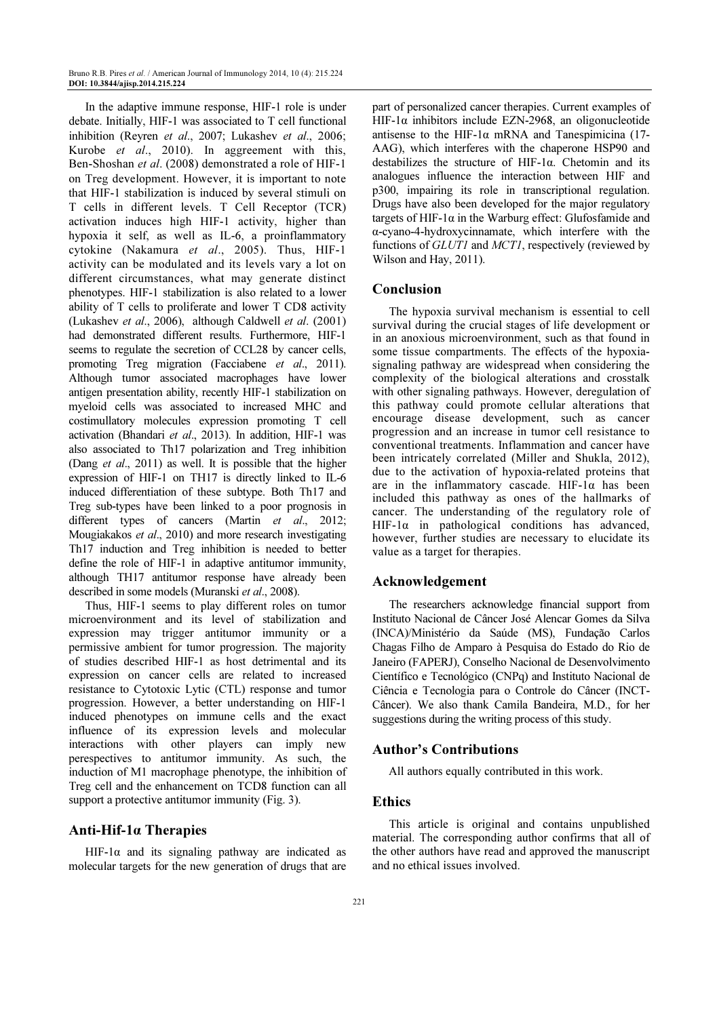In the adaptive immune response, HIF-1 role is under debate. Initially, HIF-1 was associated to T cell functional inhibition (Reyren et al., 2007; Lukashev et al., 2006; Kurobe et al., 2010). In aggreement with this, Ben-Shoshan et al. (2008) demonstrated a role of HIF-1 on Treg development. However, it is important to note that HIF-1 stabilization is induced by several stimuli on T cells in different levels. T Cell Receptor (TCR) activation induces high HIF-1 activity, higher than hypoxia it self, as well as IL-6, a proinflammatory cytokine (Nakamura et al., 2005). Thus, HIF-1 activity can be modulated and its levels vary a lot on different circumstances, what may generate distinct phenotypes. HIF-1 stabilization is also related to a lower ability of T cells to proliferate and lower T CD8 activity (Lukashev et al., 2006), although Caldwell et al. (2001) had demonstrated different results. Furthermore, HIF-1 seems to regulate the secretion of CCL28 by cancer cells, promoting Treg migration (Facciabene et al., 2011). Although tumor associated macrophages have lower antigen presentation ability, recently HIF-1 stabilization on myeloid cells was associated to increased MHC and costimullatory molecules expression promoting T cell activation (Bhandari et al., 2013). In addition, HIF-1 was also associated to Th17 polarization and Treg inhibition (Dang et al., 2011) as well. It is possible that the higher expression of HIF-1 on TH17 is directly linked to IL-6 induced differentiation of these subtype. Both Th17 and Treg sub-types have been linked to a poor prognosis in different types of cancers (Martin et al., 2012; Mougiakakos et al., 2010) and more research investigating Th17 induction and Treg inhibition is needed to better define the role of HIF-1 in adaptive antitumor immunity, although TH17 antitumor response have already been described in some models (Muranski et al., 2008).

Thus, HIF-1 seems to play different roles on tumor microenvironment and its level of stabilization and expression may trigger antitumor immunity or a permissive ambient for tumor progression. The majority of studies described HIF-1 as host detrimental and its expression on cancer cells are related to increased resistance to Cytotoxic Lytic (CTL) response and tumor progression. However, a better understanding on HIF-1 induced phenotypes on immune cells and the exact influence of its expression levels and molecular interactions with other players can imply new perespectives to antitumor immunity. As such, the induction of M1 macrophage phenotype, the inhibition of Treg cell and the enhancement on TCD8 function can all support a protective antitumor immunity (Fig. 3).

#### Anti-Hif-1α Therapies

HIF-1 $\alpha$  and its signaling pathway are indicated as molecular targets for the new generation of drugs that are

part of personalized cancer therapies. Current examples of HIF-1 $\alpha$  inhibitors include EZN-2968, an oligonucleotide antisense to the HIF-1 $\alpha$  mRNA and Tanespimicina (17-AAG), which interferes with the chaperone HSP90 and destabilizes the structure of HIF-1α. Chetomin and its analogues influence the interaction between HIF and p300, impairing its role in transcriptional regulation. Drugs have also been developed for the major regulatory targets of HIF-1α in the Warburg effect: Glufosfamide and α-cyano-4-hydroxycinnamate, which interfere with the functions of *GLUT1* and *MCT1*, respectively (reviewed by Wilson and Hay, 2011).

#### Conclusion

The hypoxia survival mechanism is essential to cell survival during the crucial stages of life development or in an anoxious microenvironment, such as that found in some tissue compartments. The effects of the hypoxiasignaling pathway are widespread when considering the complexity of the biological alterations and crosstalk with other signaling pathways. However, deregulation of this pathway could promote cellular alterations that encourage disease development, such as cancer progression and an increase in tumor cell resistance to conventional treatments. Inflammation and cancer have been intricately correlated (Miller and Shukla, 2012), due to the activation of hypoxia-related proteins that are in the inflammatory cascade. HIF-1α has been included this pathway as ones of the hallmarks of cancer. The understanding of the regulatory role of HIF-1 $\alpha$  in pathological conditions has advanced, however, further studies are necessary to elucidate its value as a target for therapies.

#### Acknowledgement

The researchers acknowledge financial support from Instituto Nacional de Câncer José Alencar Gomes da Silva (INCA)/Ministério da Saúde (MS), Fundação Carlos Chagas Filho de Amparo à Pesquisa do Estado do Rio de Janeiro (FAPERJ), Conselho Nacional de Desenvolvimento Científico e Tecnológico (CNPq) and Instituto Nacional de Ciência e Tecnologia para o Controle do Câncer (INCT-Câncer). We also thank Camila Bandeira, M.D., for her suggestions during the writing process of this study.

#### Author's Contributions

All authors equally contributed in this work.

#### **Ethics**

This article is original and contains unpublished material. The corresponding author confirms that all of the other authors have read and approved the manuscript and no ethical issues involved.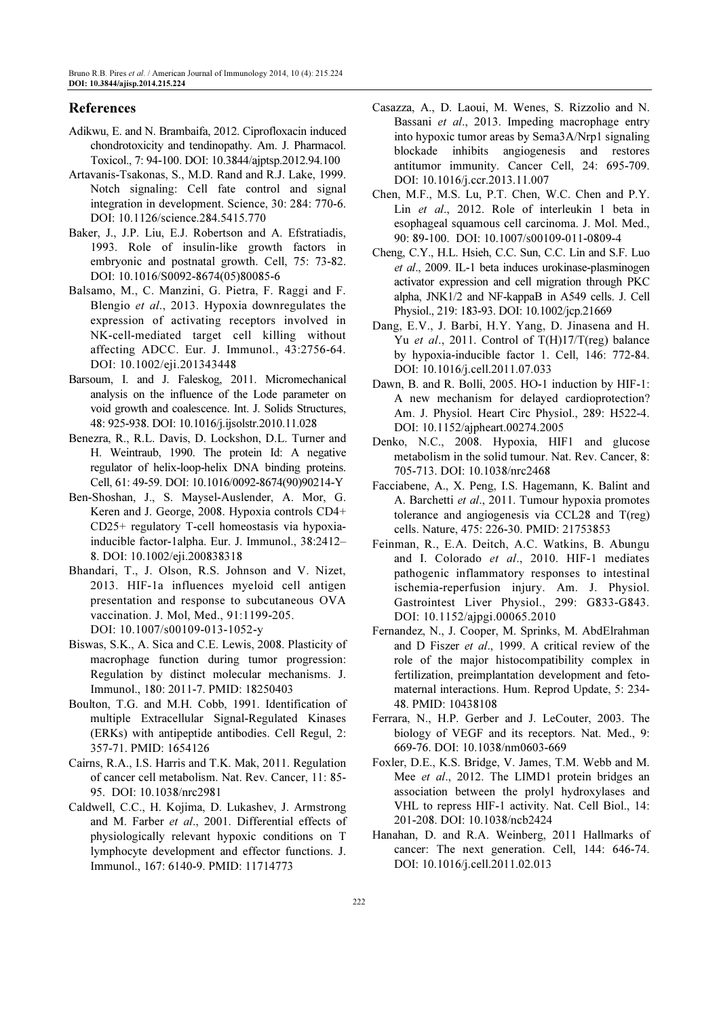#### References

- Adikwu, E. and N. Brambaifa, 2012. Ciprofloxacin induced chondrotoxicity and tendinopathy. Am. J. Pharmacol. Toxicol., 7: 94-100. DOI: 10.3844/ajptsp.2012.94.100
- Artavanis-Tsakonas, S., M.D. Rand and R.J. Lake, 1999. Notch signaling: Cell fate control and signal integration in development. Science, 30: 284: 770-6. DOI: 10.1126/science.284.5415.770
- Baker, J., J.P. Liu, E.J. Robertson and A. Efstratiadis, 1993. Role of insulin-like growth factors in embryonic and postnatal growth. Cell, 75: 73-82. DOI: 10.1016/S0092-8674(05)80085-6
- Balsamo, M., C. Manzini, G. Pietra, F. Raggi and F. Blengio et al., 2013. Hypoxia downregulates the expression of activating receptors involved in NK-cell-mediated target cell killing without affecting ADCC. Eur. J. Immunol., 43:2756-64. DOI: 10.1002/eji.201343448
- Barsoum, I. and J. Faleskog, 2011. Micromechanical analysis on the influence of the Lode parameter on void growth and coalescence. Int. J. Solids Structures, 48: 925-938. DOI: 10.1016/j.ijsolstr.2010.11.028
- Benezra, R., R.L. Davis, D. Lockshon, D.L. Turner and H. Weintraub, 1990. The protein Id: A negative regulator of helix-loop-helix DNA binding proteins. Cell, 61: 49-59. DOI: 10.1016/0092-8674(90)90214-Y
- Ben-Shoshan, J., S. Maysel-Auslender, A. Mor, G. Keren and J. George, 2008. Hypoxia controls CD4+ CD25+ regulatory T-cell homeostasis via hypoxiainducible factor-1alpha. Eur. J. Immunol., 38:2412– 8. DOI: 10.1002/eji.200838318
- Bhandari, T., J. Olson, R.S. Johnson and V. Nizet, 2013. HIF-1a influences myeloid cell antigen presentation and response to subcutaneous OVA vaccination. J. Mol, Med., 91:1199-205. DOI: 10.1007/s00109-013-1052-y
- Biswas, S.K., A. Sica and C.E. Lewis, 2008. Plasticity of macrophage function during tumor progression: Regulation by distinct molecular mechanisms. J. Immunol., 180: 2011-7. PMID: 18250403
- Boulton, T.G. and M.H. Cobb, 1991. Identification of multiple Extracellular Signal-Regulated Kinases (ERKs) with antipeptide antibodies. Cell Regul, 2: 357-71. PMID: 1654126
- Cairns, R.A., I.S. Harris and T.K. Mak, 2011. Regulation of cancer cell metabolism. Nat. Rev. Cancer, 11: 85- 95. DOI: 10.1038/nrc2981
- Caldwell, C.C., H. Kojima, D. Lukashev, J. Armstrong and M. Farber et al., 2001. Differential effects of physiologically relevant hypoxic conditions on T lymphocyte development and effector functions. J. Immunol., 167: 6140-9. PMID: 11714773
- Casazza, A., D. Laoui, M. Wenes, S. Rizzolio and N. Bassani et al., 2013. Impeding macrophage entry into hypoxic tumor areas by Sema3A/Nrp1 signaling blockade inhibits angiogenesis and restores antitumor immunity. Cancer Cell, 24: 695-709. DOI: 10.1016/j.ccr.2013.11.007
- Chen, M.F., M.S. Lu, P.T. Chen, W.C. Chen and P.Y. Lin et al., 2012. Role of interleukin 1 beta in esophageal squamous cell carcinoma. J. Mol. Med., 90: 89-100. DOI: 10.1007/s00109-011-0809-4
- Cheng, C.Y., H.L. Hsieh, C.C. Sun, C.C. Lin and S.F. Luo et al., 2009. IL-1 beta induces urokinase-plasminogen activator expression and cell migration through PKC alpha, JNK1/2 and NF-kappaB in A549 cells. J. Cell Physiol., 219: 183-93. DOI: 10.1002/jcp.21669
- Dang, E.V., J. Barbi, H.Y. Yang, D. Jinasena and H. Yu et al., 2011. Control of T(H)17/T(reg) balance by hypoxia-inducible factor 1. Cell, 146: 772-84. DOI: 10.1016/j.cell.2011.07.033
- Dawn, B. and R. Bolli, 2005. HO-1 induction by HIF-1: A new mechanism for delayed cardioprotection? Am. J. Physiol. Heart Circ Physiol., 289: H522-4. DOI: 10.1152/ajpheart.00274.2005
- Denko, N.C., 2008. Hypoxia, HIF1 and glucose metabolism in the solid tumour. Nat. Rev. Cancer, 8: 705-713. DOI: 10.1038/nrc2468
- Facciabene, A., X. Peng, I.S. Hagemann, K. Balint and A. Barchetti et al., 2011. Tumour hypoxia promotes tolerance and angiogenesis via CCL28 and T(reg) cells. Nature, 475: 226-30. PMID: 21753853
- Feinman, R., E.A. Deitch, A.C. Watkins, B. Abungu and I. Colorado et al., 2010. HIF-1 mediates pathogenic inflammatory responses to intestinal ischemia-reperfusion injury. Am. J. Physiol. Gastrointest Liver Physiol., 299: G833-G843. DOI: 10.1152/ajpgi.00065.2010
- Fernandez, N., J. Cooper, M. Sprinks, M. AbdElrahman and D Fiszer et al., 1999. A critical review of the role of the major histocompatibility complex in fertilization, preimplantation development and fetomaternal interactions. Hum. Reprod Update, 5: 234- 48. PMID: 10438108
- Ferrara, N., H.P. Gerber and J. LeCouter, 2003. The biology of VEGF and its receptors. Nat. Med., 9: 669-76. DOI: 10.1038/nm0603-669
- Foxler, D.E., K.S. Bridge, V. James, T.M. Webb and M. Mee et al., 2012. The LIMD1 protein bridges an association between the prolyl hydroxylases and VHL to repress HIF-1 activity. Nat. Cell Biol., 14: 201-208. DOI: 10.1038/ncb2424
- Hanahan, D. and R.A. Weinberg, 2011 Hallmarks of cancer: The next generation. Cell, 144: 646-74. DOI: 10.1016/j.cell.2011.02.013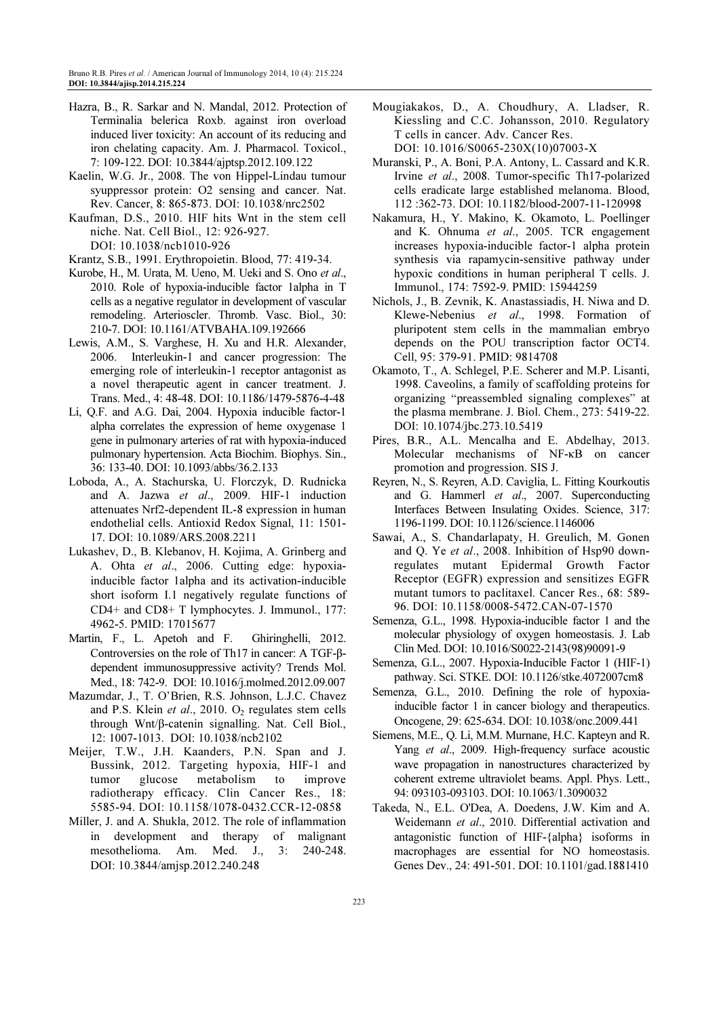- Hazra, B., R. Sarkar and N. Mandal, 2012. Protection of Terminalia belerica Roxb. against iron overload induced liver toxicity: An account of its reducing and iron chelating capacity. Am. J. Pharmacol. Toxicol., 7: 109-122. DOI: 10.3844/ajptsp.2012.109.122
- Kaelin, W.G. Jr., 2008. The von Hippel-Lindau tumour syuppressor protein: O2 sensing and cancer. Nat. Rev. Cancer, 8: 865-873. DOI: 10.1038/nrc2502
- Kaufman, D.S., 2010. HIF hits Wnt in the stem cell niche. Nat. Cell Biol., 12: 926-927. DOI: 10.1038/ncb1010-926
- Krantz, S.B., 1991. Erythropoietin. Blood, 77: 419-34.
- Kurobe, H., M. Urata, M. Ueno, M. Ueki and S. Ono et al., 2010. Role of hypoxia-inducible factor 1alpha in T cells as a negative regulator in development of vascular remodeling. Arterioscler. Thromb. Vasc. Biol., 30: 210-7. DOI: 10.1161/ATVBAHA.109.192666
- Lewis, A.M., S. Varghese, H. Xu and H.R. Alexander, 2006. Interleukin-1 and cancer progression: The emerging role of interleukin-1 receptor antagonist as a novel therapeutic agent in cancer treatment. J. Trans. Med., 4: 48-48. DOI: 10.1186/1479-5876-4-48
- Li, Q.F. and A.G. Dai, 2004. Hypoxia inducible factor-1 alpha correlates the expression of heme oxygenase 1 gene in pulmonary arteries of rat with hypoxia-induced pulmonary hypertension. Acta Biochim. Biophys. Sin., 36: 133-40. DOI: 10.1093/abbs/36.2.133
- Loboda, A., A. Stachurska, U. Florczyk, D. Rudnicka and A. Jazwa et al., 2009. HIF-1 induction attenuates Nrf2-dependent IL-8 expression in human endothelial cells. Antioxid Redox Signal, 11: 1501- 17. DOI: 10.1089/ARS.2008.2211
- Lukashev, D., B. Klebanov, H. Kojima, A. Grinberg and A. Ohta et al., 2006. Cutting edge: hypoxiainducible factor 1alpha and its activation-inducible short isoform I.1 negatively regulate functions of CD4+ and CD8+ T lymphocytes. J. Immunol., 177: 4962-5. PMID: 17015677
- Martin, F., L. Apetoh and F. Ghiringhelli, 2012. Controversies on the role of Th17 in cancer: A TGF-βdependent immunosuppressive activity? Trends Mol. Med., 18: 742-9. DOI: 10.1016/j.molmed.2012.09.007
- Mazumdar, J., T. O'Brien, R.S. Johnson, L.J.C. Chavez and P.S. Klein et al., 2010.  $O_2$  regulates stem cells through Wnt/β-catenin signalling. Nat. Cell Biol., 12: 1007-1013. DOI: 10.1038/ncb2102
- Meijer, T.W., J.H. Kaanders, P.N. Span and J. Bussink, 2012. Targeting hypoxia, HIF-1 and tumor glucose metabolism to improve radiotherapy efficacy. Clin Cancer Res., 18: 5585-94. DOI: 10.1158/1078-0432.CCR-12-0858
- Miller, J. and A. Shukla, 2012. The role of inflammation in development and therapy of malignant mesothelioma. Am. Med. J., 3: 240-248. DOI: 10.3844/amjsp.2012.240.248
- Mougiakakos, D., A. Choudhury, A. Lladser, R. Kiessling and C.C. Johansson, 2010. Regulatory T cells in cancer. Adv. Cancer Res. DOI: 10.1016/S0065-230X(10)07003-X
- Muranski, P., A. Boni, P.A. Antony, L. Cassard and K.R. Irvine et al., 2008. Tumor-specific Th17-polarized cells eradicate large established melanoma. Blood, 112 :362-73. DOI: 10.1182/blood-2007-11-120998
- Nakamura, H., Y. Makino, K. Okamoto, L. Poellinger and K. Ohnuma et al., 2005. TCR engagement increases hypoxia-inducible factor-1 alpha protein synthesis via rapamycin-sensitive pathway under hypoxic conditions in human peripheral T cells. J. Immunol., 174: 7592-9. PMID: 15944259
- Nichols, J., B. Zevnik, K. Anastassiadis, H. Niwa and D. Klewe-Nebenius et al., 1998. Formation of pluripotent stem cells in the mammalian embryo depends on the POU transcription factor OCT4. Cell, 95: 379-91. PMID: 9814708
- Okamoto, T., A. Schlegel, P.E. Scherer and M.P. Lisanti, 1998. Caveolins, a family of scaffolding proteins for organizing "preassembled signaling complexes" at the plasma membrane. J. Biol. Chem., 273: 5419-22. DOI: 10.1074/jbc.273.10.5419
- Pires, B.R., A.L. Mencalha and E. Abdelhay, 2013. Molecular mechanisms of NF-κB on cancer promotion and progression. SIS J.
- Reyren, N., S. Reyren, A.D. Caviglia, L. Fitting Kourkoutis and G. Hammerl et al., 2007. Superconducting Interfaces Between Insulating Oxides. Science, 317: 1196-1199. DOI: 10.1126/science.1146006
- Sawai, A., S. Chandarlapaty, H. Greulich, M. Gonen and Q. Ye et al., 2008. Inhibition of Hsp90 downregulates mutant Epidermal Growth Factor Receptor (EGFR) expression and sensitizes EGFR mutant tumors to paclitaxel. Cancer Res., 68: 589- 96. DOI: 10.1158/0008-5472.CAN-07-1570
- Semenza, G.L., 1998. Hypoxia-inducible factor 1 and the molecular physiology of oxygen homeostasis. J. Lab Clin Med. DOI: 10.1016/S0022-2143(98)90091-9
- Semenza, G.L., 2007. Hypoxia-Inducible Factor 1 (HIF-1) pathway. Sci. STKE. DOI: 10.1126/stke.4072007cm8
- Semenza, G.L., 2010. Defining the role of hypoxiainducible factor 1 in cancer biology and therapeutics. Oncogene, 29: 625-634. DOI: 10.1038/onc.2009.441
- Siemens, M.E., Q. Li, M.M. Murnane, H.C. Kapteyn and R. Yang et al., 2009. High-frequency surface acoustic wave propagation in nanostructures characterized by coherent extreme ultraviolet beams. Appl. Phys. Lett., 94: 093103-093103. DOI: 10.1063/1.3090032
- Takeda, N., E.L. O'Dea, A. Doedens, J.W. Kim and A. Weidemann et al., 2010. Differential activation and antagonistic function of HIF-{alpha} isoforms in macrophages are essential for NO homeostasis. Genes Dev., 24: 491-501. DOI: 10.1101/gad.1881410